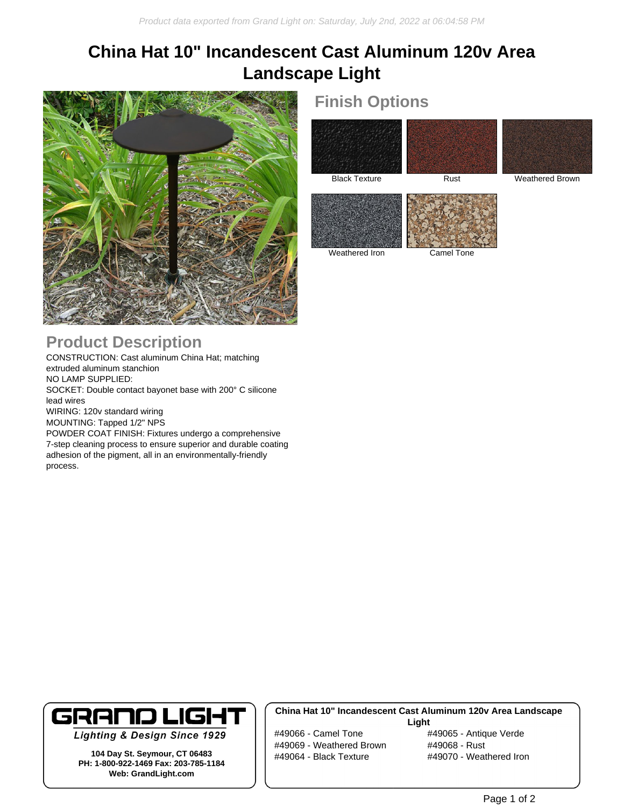# **China Hat 10" Incandescent Cast Aluminum 120v Area Landscape Light**



## **Product Description**

process.

CONSTRUCTION: Cast aluminum China Hat; matching extruded aluminum stanchion NO LAMP SUPPLIED: SOCKET: Double contact bayonet base with 200° C silicone lead wires WIRING: 120v standard wiring MOUNTING: Tapped 1/2" NPS POWDER COAT FINISH: Fixtures undergo a comprehensive 7-step cleaning process to ensure superior and durable coating adhesion of the pigment, all in an environmentally-friendly

### **Finish Options**





Black Texture Rust Rust Weathered Brown



Weathered Iron Camel Tone

# **GRAND LIGHT**

**Lighting & Design Since 1929** 

**104 Day St. Seymour, CT 06483 PH: 1-800-922-1469 Fax: 203-785-1184 Web: GrandLight.com**

### **China Hat 10" Incandescent Cast Aluminum 120v Area Landscape**

#49066 - Camel Tone #49065 - Antique Verde #49069 - Weathered Brown #49068 - Rust #49064 - Black Texture #49070 - Weathered Iron

**Light**